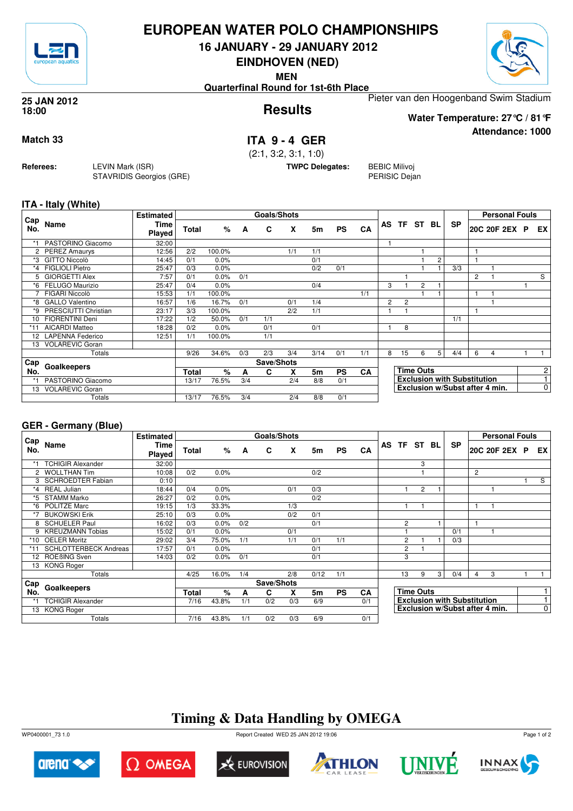

## **EUROPEAN WATER POLO CHAMPIONSHIPS**

**16 JANUARY - 29 JANUARY 2012**

**EINDHOVEN (NED)**

**MEN**

**Quarterfinal Round for 1st-6th Place**

Pieter van den Hoogenband Swim Stadium

### **Results 25 JAN 2012 18:00**

**Attendance: 1000 Water Temperature: 27°C / 81°F**

**Match 33 ITA 9 - 4 GER** (2:1, 3:2, 3:1, 1:0)

**TWPC Delegates:** BEBIC Milivoj PERISIC Dejan

**ITA - Italy (White)**

**Referees:** LEVIN Mark (ISR)

STAVRIDIS Georgios (GRE)

|            |                         | <b>Estimated</b> |              |        |     | Goals/Shots |     |                |           |           |                |                |                  |   |                                    |   | <b>Personal Fouls</b>          |                |
|------------|-------------------------|------------------|--------------|--------|-----|-------------|-----|----------------|-----------|-----------|----------------|----------------|------------------|---|------------------------------------|---|--------------------------------|----------------|
| Cap<br>No. | <b>Name</b>             | Time<br>Played   | Total        | %      | A   | C           | X   | 5m             | <b>PS</b> | CA        |                |                | AS TF ST BL      |   | <b>SP</b>                          |   | 20C 20F 2EX P                  | EX I           |
|            | PASTORINO Giacomo       | 32:00            |              |        |     |             |     |                |           |           |                |                |                  |   |                                    |   |                                |                |
|            | 2 PEREZ Amaurys         | 12:56            | 2/2          | 100.0% |     |             | 1/1 | 1/1            |           |           |                |                |                  |   |                                    |   |                                |                |
| *3         | <b>GITTO Niccolò</b>    | 14:45            | 0/1          | 0.0%   |     |             |     | 0/1            |           |           |                |                |                  | 2 |                                    |   |                                |                |
| $*_{4}$    | <b>FIGLIOLI Pietro</b>  | 25:47            | 0/3          | 0.0%   |     |             |     | 0/2            | 0/1       |           |                |                |                  |   | 3/3                                |   |                                |                |
| 5          | <b>GIORGETTI Alex</b>   | 7:57             | 0/1          | 0.0%   | 0/1 |             |     |                |           |           |                |                |                  |   |                                    | 2 |                                | S              |
| *6         | FELUGO Maurizio         | 25:47            | 0/4          | 0.0%   |     |             |     | 0/4            |           |           | 3              |                | $\overline{c}$   |   |                                    |   |                                |                |
|            | FIGARI Niccolò          | 15:53            | 1/1          | 100.0% |     |             |     |                |           | 1/1       |                |                |                  |   |                                    |   |                                |                |
| *8         | <b>GALLO Valentino</b>  | 16:57            | 1/6          | 16.7%  | 0/1 |             | 0/1 | 1/4            |           |           | $\overline{c}$ | $\overline{c}$ |                  |   |                                    |   |                                |                |
| *9         | PRESCIUTTI Christian    | 23:17            | 3/3          | 100.0% |     |             | 2/2 | 1/1            |           |           |                |                |                  |   |                                    |   |                                |                |
| 10         | <b>FIORENTINI Deni</b>  | 17:22            | 1/2          | 50.0%  | 0/1 | 1/1         |     |                |           |           |                |                |                  |   | 1/1                                |   |                                |                |
| $*11$      | <b>AICARDI Matteo</b>   | 18:28            | 0/2          | 0.0%   |     | 0/1         |     | 0/1            |           |           |                | 8              |                  |   |                                    |   |                                |                |
| 12         | <b>LAPENNA Federico</b> | 12:51            | 1/1          | 100.0% |     | 1/1         |     |                |           |           |                |                |                  |   |                                    |   |                                |                |
| 13         | <b>VOLAREVIC Goran</b>  |                  |              |        |     |             |     |                |           |           |                |                |                  |   |                                    |   |                                |                |
|            | Totals                  |                  | 9/26         | 34.6%  | 0/3 | 2/3         | 3/4 | 3/14           | 0/1       | 1/1       | 8              | 15             | 6                | 5 | 4/4                                | 6 | 4                              |                |
| Cap        | Goalkeepers             |                  |              |        |     | Save/Shots  |     |                |           |           |                |                |                  |   |                                    |   |                                |                |
| No.        |                         |                  | <b>Total</b> | %      | А   | C           | X   | 5 <sub>m</sub> | <b>PS</b> | <b>CA</b> |                |                | <b>Time Outs</b> |   |                                    |   |                                | 2              |
| *1         | PASTORINO Giacomo       |                  | 13/17        | 76.5%  | 3/4 |             | 2/4 | 8/8            | 0/1       |           |                |                |                  |   | <b>Exclusion with Substitution</b> |   |                                |                |
| 13         | <b>VOLAREVIC Goran</b>  |                  |              |        |     |             |     |                |           |           |                |                |                  |   |                                    |   | Exclusion w/Subst after 4 min. | $\overline{0}$ |
|            | Totals                  |                  | 13/17        | 76.5%  | 3/4 |             | 2/4 | 8/8            | 0/1       |           |                |                |                  |   |                                    |   |                                |                |

## **GER - Germany (Blue)**

|                      |                              | <b>Estimated</b>      |       |       |     | Goals/Shots |     |      |           |           |                |                  |   |                                    |   | <b>Personal Fouls</b>          |                |
|----------------------|------------------------------|-----------------------|-------|-------|-----|-------------|-----|------|-----------|-----------|----------------|------------------|---|------------------------------------|---|--------------------------------|----------------|
| Cap<br>No.           | Name                         | Time<br><b>Played</b> | Total | %     | A   | C           | X   | 5m   | <b>PS</b> | CA        | AS TF ST BL    |                  |   | <b>SP</b>                          |   | 20C 20F 2EX P                  | EX I           |
|                      | <b>TCHIGIR Alexander</b>     | 32:00                 |       |       |     |             |     |      |           |           |                | 3                |   |                                    |   |                                |                |
| $\mathbf{2}^{\circ}$ | <b>WOLLTHAN Tim</b>          | 10:08                 | 0/2   | 0.0%  |     |             |     | 0/2  |           |           |                |                  |   |                                    | 2 |                                |                |
| 3                    | <b>SCHROEDTER Fabian</b>     | 0:10                  |       |       |     |             |     |      |           |           |                |                  |   |                                    |   |                                | S              |
| $*_{4}$              | <b>REAL Julian</b>           | 18:44                 | 0/4   | 0.0%  |     |             | 0/1 | 0/3  |           |           |                | $\overline{2}$   |   |                                    |   |                                |                |
| *5                   | <b>STAMM Marko</b>           | 26:27                 | 0/2   | 0.0%  |     |             |     | 0/2  |           |           |                |                  |   |                                    |   |                                |                |
| *6                   | <b>POLITZE Marc</b>          | 19:15                 | 1/3   | 33.3% |     |             | 1/3 |      |           |           |                |                  |   |                                    | 1 |                                |                |
| *7                   | <b>BUKOWSKI Erik</b>         | 25:10                 | 0/3   | 0.0%  |     |             | 0/2 | 0/1  |           |           |                |                  |   |                                    |   |                                |                |
| 8                    | <b>SCHUELER Paul</b>         | 16:02                 | 0/3   | 0.0%  | 0/2 |             |     | 0/1  |           |           | $\overline{c}$ |                  |   |                                    | 1 |                                |                |
| 9                    | <b>KREUZMANN Tobias</b>      | 15:02                 | 0/1   | 0.0%  |     |             | 0/1 |      |           |           |                |                  |   | 0/1                                |   |                                |                |
| *10                  | <b>OELER Moritz</b>          | 29:02                 | 3/4   | 75.0% | 1/1 |             | 1/1 | 0/1  | 1/1       |           | $\overline{2}$ |                  |   | 0/3                                |   |                                |                |
|                      | <b>SCHLOTTERBECK Andreas</b> | 17:57                 | 0/1   | 0.0%  |     |             |     | 0/1  |           |           | $\overline{c}$ |                  |   |                                    |   |                                |                |
| 12                   | ROEBING Sven                 | 14:03                 | 0/2   | 0.0%  | 0/1 |             |     | 0/1  |           |           | 3              |                  |   |                                    |   |                                |                |
|                      | 13 KONG Roger                |                       |       |       |     |             |     |      |           |           |                |                  |   |                                    |   |                                |                |
|                      | Totals                       |                       | 4/25  | 16.0% | 1/4 |             | 2/8 | 0/12 | 1/1       |           | 13             | 9                | 3 | 0/4                                | 4 | 3                              |                |
| Cap                  |                              |                       |       |       |     | Save/Shots  |     |      |           |           |                |                  |   |                                    |   |                                |                |
| No.                  | Goalkeepers                  |                       | Total | $\%$  | A   | C           | x   | 5m   | <b>PS</b> | <b>CA</b> |                | <b>Time Outs</b> |   |                                    |   |                                |                |
|                      | <b>TCHIGIR Alexander</b>     |                       | 7/16  | 43.8% | 1/1 | 0/2         | 0/3 | 6/9  |           | 0/1       |                |                  |   | <b>Exclusion with Substitution</b> |   |                                | 1              |
|                      | 13 KONG Roger                |                       |       |       |     |             |     |      |           |           |                |                  |   |                                    |   | Exclusion w/Subst after 4 min. | $\overline{0}$ |
|                      | Totals                       |                       | 7/16  | 43.8% | 1/1 | 0/2         | 0/3 | 6/9  |           | 0/1       |                |                  |   |                                    |   |                                |                |

# **Timing & Data Handling by OMEGA**

WP0400001\_73 1.0 Report Created WED 25 JAN 2012 19:06













Page 1 of 2